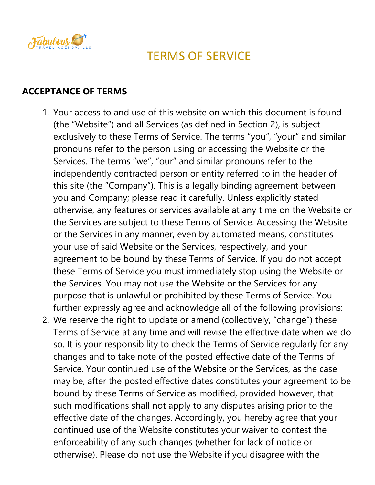

#### **ACCEPTANCE OF TERMS**

- 1. Your access to and use of this website on which this document is found (the "Website") and all Services (as defined in Section 2), is subject exclusively to these Terms of Service. The terms "you", "your" and similar pronouns refer to the person using or accessing the Website or the Services. The terms "we", "our" and similar pronouns refer to the independently contracted person or entity referred to in the header of this site (the "Company"). This is a legally binding agreement between you and Company; please read it carefully. Unless explicitly stated otherwise, any features or services available at any time on the Website or the Services are subject to these Terms of Service. Accessing the Website or the Services in any manner, even by automated means, constitutes your use of said Website or the Services, respectively, and your agreement to be bound by these Terms of Service. If you do not accept these Terms of Service you must immediately stop using the Website or the Services. You may not use the Website or the Services for any purpose that is unlawful or prohibited by these Terms of Service. You further expressly agree and acknowledge all of the following provisions:
- 2. We reserve the right to update or amend (collectively, "change") these Terms of Service at any time and will revise the effective date when we do so. It is your responsibility to check the Terms of Service regularly for any changes and to take note of the posted effective date of the Terms of Service. Your continued use of the Website or the Services, as the case may be, after the posted effective dates constitutes your agreement to be bound by these Terms of Service as modified, provided however, that such modifications shall not apply to any disputes arising prior to the effective date of the changes. Accordingly, you hereby agree that your continued use of the Website constitutes your waiver to contest the enforceability of any such changes (whether for lack of notice or otherwise). Please do not use the Website if you disagree with the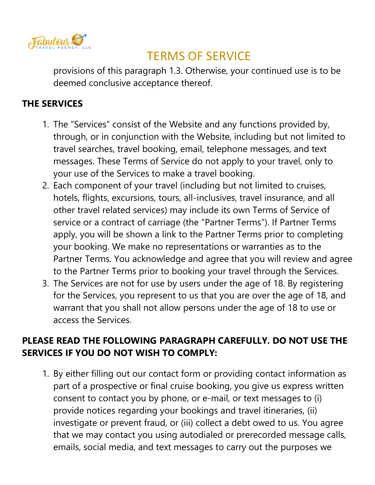

provisions of this paragraph 1.3. Otherwise, your continued use is to be deemed conclusive acceptance thereof.

#### **THE SERVICES**

- 1. The "Services" consist of the Website and any functions provided by, through, or in conjunction with the Website, including but not limited to travel searches, travel booking, email, telephone messages, and text messages. These Terms of Service do not apply to your travel, only to your use of the Services to make a travel booking.
- 2. Each component of your travel (including but not limited to cruises, hotels, flights, excursions, tours, all-inclusives, travel insurance, and all other travel related services) may include its own Terms of Service of service or a contract of carriage (the "Partner Terms"). If Partner Terms apply, you will be shown a link to the Partner Terms prior to completing your booking. We make no representations or warranties as to the Partner Terms. You acknowledge and agree that you will review and agree to the Partner Terms prior to booking your travel through the Services.
- 3. The Services are not for use by users under the age of 18. By registering for the Services, you represent to us that you are over the age of 18, and warrant that you shall not allow persons under the age of 18 to use or access the Services.

#### **PLEASE READ THE FOLLOWING PARAGRAPH CAREFULLY. DO NOT USE THE SERVICES IF YOU DO NOT WISH TO COMPLY:**

1. By either filling out our contact form or providing contact information as part of a prospective or final cruise booking, you give us express written consent to contact you by phone, or e-mail, or text messages to (i) provide notices regarding your bookings and travel itineraries, (ii) investigate or prevent fraud, or (iii) collect a debt owed to us. You agree that we may contact you using autodialed or prerecorded message calls, emails, social media, and text messages to carry out the purposes we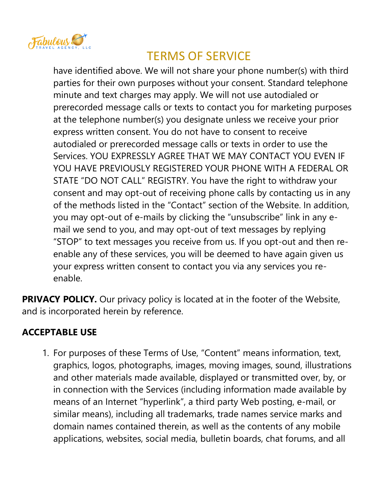

have identified above. We will not share your phone number(s) with third parties for their own purposes without your consent. Standard telephone minute and text charges may apply. We will not use autodialed or prerecorded message calls or texts to contact you for marketing purposes at the telephone number(s) you designate unless we receive your prior express written consent. You do not have to consent to receive autodialed or prerecorded message calls or texts in order to use the Services. YOU EXPRESSLY AGREE THAT WE MAY CONTACT YOU EVEN IF YOU HAVE PREVIOUSLY REGISTERED YOUR PHONE WITH A FEDERAL OR STATE "DO NOT CALL" REGISTRY. You have the right to withdraw your consent and may opt-out of receiving phone calls by contacting us in any of the methods listed in the "Contact" section of the Website. In addition, you may opt-out of e-mails by clicking the "unsubscribe" link in any email we send to you, and may opt-out of text messages by replying "STOP" to text messages you receive from us. If you opt-out and then reenable any of these services, you will be deemed to have again given us your express written consent to contact you via any services you reenable.

**PRIVACY POLICY.** Our privacy policy is located at in the footer of the Website, and is incorporated herein by reference.

#### **ACCEPTABLE USE**

1. For purposes of these Terms of Use, "Content" means information, text, graphics, logos, photographs, images, moving images, sound, illustrations and other materials made available, displayed or transmitted over, by, or in connection with the Services (including information made available by means of an Internet "hyperlink", a third party Web posting, e-mail, or similar means), including all trademarks, trade names service marks and domain names contained therein, as well as the contents of any mobile applications, websites, social media, bulletin boards, chat forums, and all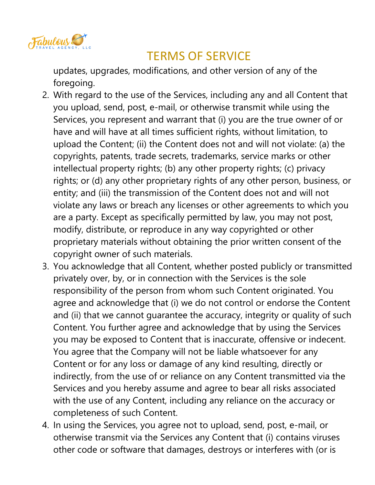

updates, upgrades, modifications, and other version of any of the foregoing.

- 2. With regard to the use of the Services, including any and all Content that you upload, send, post, e-mail, or otherwise transmit while using the Services, you represent and warrant that (i) you are the true owner of or have and will have at all times sufficient rights, without limitation, to upload the Content; (ii) the Content does not and will not violate: (a) the copyrights, patents, trade secrets, trademarks, service marks or other intellectual property rights; (b) any other property rights; (c) privacy rights; or (d) any other proprietary rights of any other person, business, or entity; and (iii) the transmission of the Content does not and will not violate any laws or breach any licenses or other agreements to which you are a party. Except as specifically permitted by law, you may not post, modify, distribute, or reproduce in any way copyrighted or other proprietary materials without obtaining the prior written consent of the copyright owner of such materials.
- 3. You acknowledge that all Content, whether posted publicly or transmitted privately over, by, or in connection with the Services is the sole responsibility of the person from whom such Content originated. You agree and acknowledge that (i) we do not control or endorse the Content and (ii) that we cannot guarantee the accuracy, integrity or quality of such Content. You further agree and acknowledge that by using the Services you may be exposed to Content that is inaccurate, offensive or indecent. You agree that the Company will not be liable whatsoever for any Content or for any loss or damage of any kind resulting, directly or indirectly, from the use of or reliance on any Content transmitted via the Services and you hereby assume and agree to bear all risks associated with the use of any Content, including any reliance on the accuracy or completeness of such Content.
- 4. In using the Services, you agree not to upload, send, post, e-mail, or otherwise transmit via the Services any Content that (i) contains viruses other code or software that damages, destroys or interferes with (or is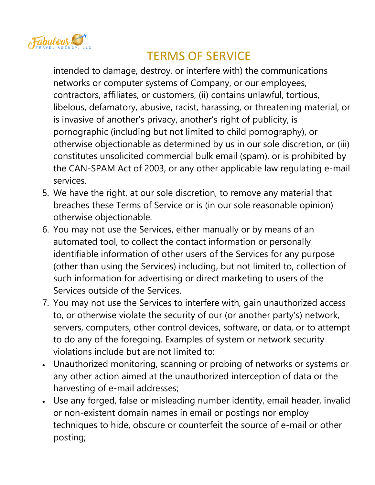

intended to damage, destroy, or interfere with) the communications networks or computer systems of Company, or our employees, contractors, affiliates, or customers, (ii) contains unlawful, tortious, libelous, defamatory, abusive, racist, harassing, or threatening material, or is invasive of another's privacy, another's right of publicity, is pornographic (including but not limited to child pornography), or otherwise objectionable as determined by us in our sole discretion, or (iii) constitutes unsolicited commercial bulk email (spam), or is prohibited by the CAN-SPAM Act of 2003, or any other applicable law regulating e-mail services.

- 5. We have the right, at our sole discretion, to remove any material that breaches these Terms of Service or is (in our sole reasonable opinion) otherwise objectionable.
- 6. You may not use the Services, either manually or by means of an automated tool, to collect the contact information or personally identifiable information of other users of the Services for any purpose (other than using the Services) including, but not limited to, collection of such information for advertising or direct marketing to users of the Services outside of the Services.
- 7. You may not use the Services to interfere with, gain unauthorized access to, or otherwise violate the security of our (or another party's) network, servers, computers, other control devices, software, or data, or to attempt to do any of the foregoing. Examples of system or network security violations include but are not limited to:
- Unauthorized monitoring, scanning or probing of networks or systems or any other action aimed at the unauthorized interception of data or the harvesting of e-mail addresses;
- Use any forged, false or misleading number identity, email header, invalid or non-existent domain names in email or postings nor employ techniques to hide, obscure or counterfeit the source of e-mail or other posting;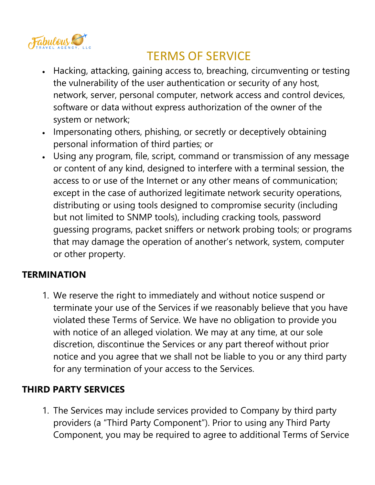

- Hacking, attacking, gaining access to, breaching, circumventing or testing the vulnerability of the user authentication or security of any host, network, server, personal computer, network access and control devices, software or data without express authorization of the owner of the system or network;
- Impersonating others, phishing, or secretly or deceptively obtaining personal information of third parties; or
- Using any program, file, script, command or transmission of any message or content of any kind, designed to interfere with a terminal session, the access to or use of the Internet or any other means of communication; except in the case of authorized legitimate network security operations, distributing or using tools designed to compromise security (including but not limited to SNMP tools), including cracking tools, password guessing programs, packet sniffers or network probing tools; or programs that may damage the operation of another's network, system, computer or other property.

#### **TERMINATION**

1. We reserve the right to immediately and without notice suspend or terminate your use of the Services if we reasonably believe that you have violated these Terms of Service. We have no obligation to provide you with notice of an alleged violation. We may at any time, at our sole discretion, discontinue the Services or any part thereof without prior notice and you agree that we shall not be liable to you or any third party for any termination of your access to the Services.

#### **THIRD PARTY SERVICES**

1. The Services may include services provided to Company by third party providers (a "Third Party Component"). Prior to using any Third Party Component, you may be required to agree to additional Terms of Service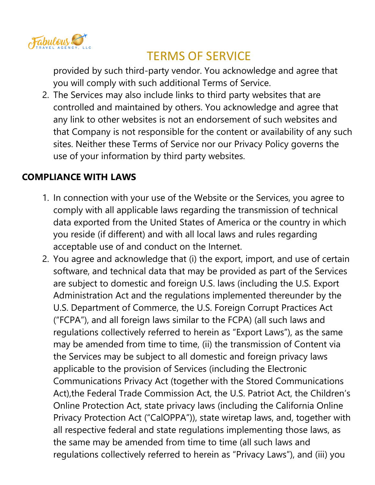

provided by such third-party vendor. You acknowledge and agree that you will comply with such additional Terms of Service.

2. The Services may also include links to third party websites that are controlled and maintained by others. You acknowledge and agree that any link to other websites is not an endorsement of such websites and that Company is not responsible for the content or availability of any such sites. Neither these Terms of Service nor our Privacy Policy governs the use of your information by third party websites.

#### **COMPLIANCE WITH LAWS**

- 1. In connection with your use of the Website or the Services, you agree to comply with all applicable laws regarding the transmission of technical data exported from the United States of America or the country in which you reside (if different) and with all local laws and rules regarding acceptable use of and conduct on the Internet.
- 2. You agree and acknowledge that (i) the export, import, and use of certain software, and technical data that may be provided as part of the Services are subject to domestic and foreign U.S. laws (including the U.S. Export Administration Act and the regulations implemented thereunder by the U.S. Department of Commerce, the U.S. Foreign Corrupt Practices Act ("FCPA"), and all foreign laws similar to the FCPA) (all such laws and regulations collectively referred to herein as "Export Laws"), as the same may be amended from time to time, (ii) the transmission of Content via the Services may be subject to all domestic and foreign privacy laws applicable to the provision of Services (including the Electronic Communications Privacy Act (together with the Stored Communications Act),the Federal Trade Commission Act, the U.S. Patriot Act, the Children's Online Protection Act, state privacy laws (including the California Online Privacy Protection Act ("CalOPPA")), state wiretap laws, and, together with all respective federal and state regulations implementing those laws, as the same may be amended from time to time (all such laws and regulations collectively referred to herein as "Privacy Laws"), and (iii) you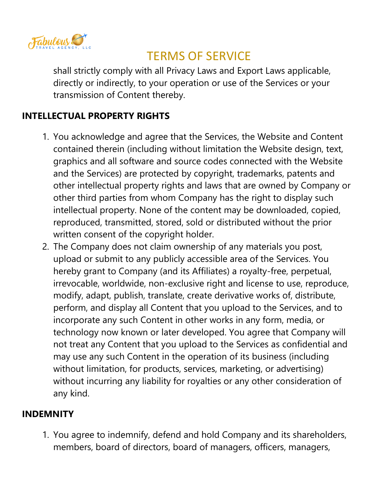

shall strictly comply with all Privacy Laws and Export Laws applicable, directly or indirectly, to your operation or use of the Services or your transmission of Content thereby.

#### **INTELLECTUAL PROPERTY RIGHTS**

- 1. You acknowledge and agree that the Services, the Website and Content contained therein (including without limitation the Website design, text, graphics and all software and source codes connected with the Website and the Services) are protected by copyright, trademarks, patents and other intellectual property rights and laws that are owned by Company or other third parties from whom Company has the right to display such intellectual property. None of the content may be downloaded, copied, reproduced, transmitted, stored, sold or distributed without the prior written consent of the copyright holder.
- 2. The Company does not claim ownership of any materials you post, upload or submit to any publicly accessible area of the Services. You hereby grant to Company (and its Affiliates) a royalty-free, perpetual, irrevocable, worldwide, non-exclusive right and license to use, reproduce, modify, adapt, publish, translate, create derivative works of, distribute, perform, and display all Content that you upload to the Services, and to incorporate any such Content in other works in any form, media, or technology now known or later developed. You agree that Company will not treat any Content that you upload to the Services as confidential and may use any such Content in the operation of its business (including without limitation, for products, services, marketing, or advertising) without incurring any liability for royalties or any other consideration of any kind.

#### **INDEMNITY**

1. You agree to indemnify, defend and hold Company and its shareholders, members, board of directors, board of managers, officers, managers,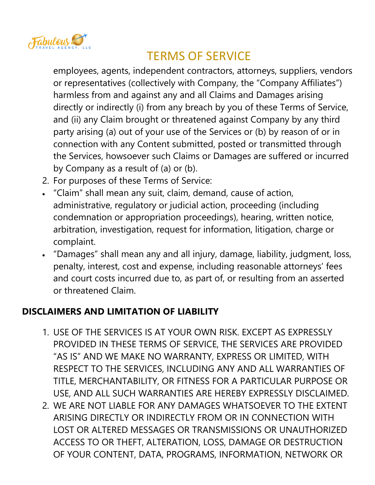

employees, agents, independent contractors, attorneys, suppliers, vendors or representatives (collectively with Company, the "Company Affiliates") harmless from and against any and all Claims and Damages arising directly or indirectly (i) from any breach by you of these Terms of Service, and (ii) any Claim brought or threatened against Company by any third party arising (a) out of your use of the Services or (b) by reason of or in connection with any Content submitted, posted or transmitted through the Services, howsoever such Claims or Damages are suffered or incurred by Company as a result of (a) or (b).

- 2. For purposes of these Terms of Service:
- "Claim" shall mean any suit, claim, demand, cause of action, administrative, regulatory or judicial action, proceeding (including condemnation or appropriation proceedings), hearing, written notice, arbitration, investigation, request for information, litigation, charge or complaint.
- "Damages" shall mean any and all injury, damage, liability, judgment, loss, penalty, interest, cost and expense, including reasonable attorneys' fees and court costs incurred due to, as part of, or resulting from an asserted or threatened Claim.

#### **DISCLAIMERS AND LIMITATION OF LIABILITY**

- 1. USE OF THE SERVICES IS AT YOUR OWN RISK. EXCEPT AS EXPRESSLY PROVIDED IN THESE TERMS OF SERVICE, THE SERVICES ARE PROVIDED "AS IS" AND WE MAKE NO WARRANTY, EXPRESS OR LIMITED, WITH RESPECT TO THE SERVICES, INCLUDING ANY AND ALL WARRANTIES OF TITLE, MERCHANTABILITY, OR FITNESS FOR A PARTICULAR PURPOSE OR USE, AND ALL SUCH WARRANTIES ARE HEREBY EXPRESSLY DISCLAIMED.
- 2. WE ARE NOT LIABLE FOR ANY DAMAGES WHATSOEVER TO THE EXTENT ARISING DIRECTLY OR INDIRECTLY FROM OR IN CONNECTION WITH LOST OR ALTERED MESSAGES OR TRANSMISSIONS OR UNAUTHORIZED ACCESS TO OR THEFT, ALTERATION, LOSS, DAMAGE OR DESTRUCTION OF YOUR CONTENT, DATA, PROGRAMS, INFORMATION, NETWORK OR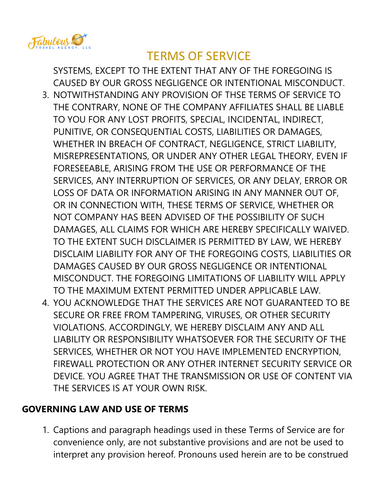

SYSTEMS, EXCEPT TO THE EXTENT THAT ANY OF THE FOREGOING IS CAUSED BY OUR GROSS NEGLIGENCE OR INTENTIONAL MISCONDUCT.

- 3. NOTWITHSTANDING ANY PROVISION OF THSE TERMS OF SERVICE TO THE CONTRARY, NONE OF THE COMPANY AFFILIATES SHALL BE LIABLE TO YOU FOR ANY LOST PROFITS, SPECIAL, INCIDENTAL, INDIRECT, PUNITIVE, OR CONSEQUENTIAL COSTS, LIABILITIES OR DAMAGES, WHETHER IN BREACH OF CONTRACT, NEGLIGENCE, STRICT LIABILITY, MISREPRESENTATIONS, OR UNDER ANY OTHER LEGAL THEORY, EVEN IF FORESEEABLE, ARISING FROM THE USE OR PERFORMANCE OF THE SERVICES, ANY INTERRUPTION OF SERVICES, OR ANY DELAY, ERROR OR LOSS OF DATA OR INFORMATION ARISING IN ANY MANNER OUT OF, OR IN CONNECTION WITH, THESE TERMS OF SERVICE, WHETHER OR NOT COMPANY HAS BEEN ADVISED OF THE POSSIBILITY OF SUCH DAMAGES, ALL CLAIMS FOR WHICH ARE HEREBY SPECIFICALLY WAIVED. TO THE EXTENT SUCH DISCLAIMER IS PERMITTED BY LAW, WE HEREBY DISCLAIM LIABILITY FOR ANY OF THE FOREGOING COSTS, LIABILITIES OR DAMAGES CAUSED BY OUR GROSS NEGLIGENCE OR INTENTIONAL MISCONDUCT. THE FOREGOING LIMITATIONS OF LIABILITY WILL APPLY TO THE MAXIMUM EXTENT PERMITTED UNDER APPLICABLE LAW.
- 4. YOU ACKNOWLEDGE THAT THE SERVICES ARE NOT GUARANTEED TO BE SECURE OR FREE FROM TAMPERING, VIRUSES, OR OTHER SECURITY VIOLATIONS. ACCORDINGLY, WE HEREBY DISCLAIM ANY AND ALL LIABILITY OR RESPONSIBILITY WHATSOEVER FOR THE SECURITY OF THE SERVICES, WHETHER OR NOT YOU HAVE IMPLEMENTED ENCRYPTION, FIREWALL PROTECTION OR ANY OTHER INTERNET SECURITY SERVICE OR DEVICE. YOU AGREE THAT THE TRANSMISSION OR USE OF CONTENT VIA THE SERVICES IS AT YOUR OWN RISK.

#### **GOVERNING LAW AND USE OF TERMS**

1. Captions and paragraph headings used in these Terms of Service are for convenience only, are not substantive provisions and are not be used to interpret any provision hereof. Pronouns used herein are to be construed